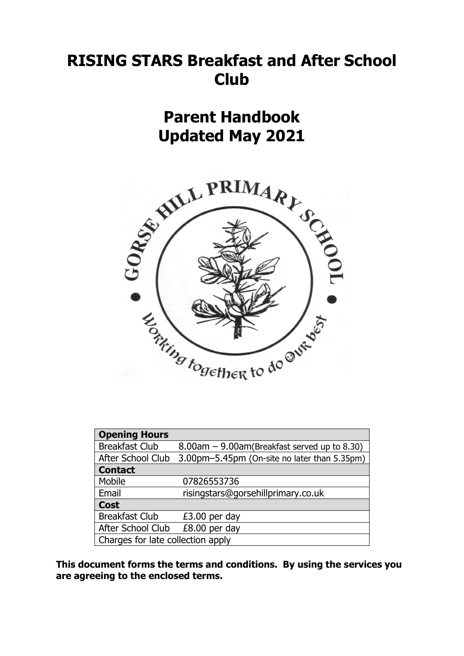# **RISING STARS Breakfast and After School Club**

**Parent Handbook Updated May 2021**



| <b>Opening Hours</b>              |                                                    |  |  |  |
|-----------------------------------|----------------------------------------------------|--|--|--|
| <b>Breakfast Club</b>             | $8.00$ am $- 9.00$ am(Breakfast served up to 8.30) |  |  |  |
| After School Club                 | 3.00pm-5.45pm (On-site no later than 5.35pm)       |  |  |  |
| <b>Contact</b>                    |                                                    |  |  |  |
| Mobile                            | 07826553736                                        |  |  |  |
| Email                             | risingstars@gorsehillprimary.co.uk                 |  |  |  |
| <b>Cost</b>                       |                                                    |  |  |  |
| <b>Breakfast Club</b>             | $£3.00$ per day                                    |  |  |  |
| After School Club                 | £8.00 per day                                      |  |  |  |
| Charges for late collection apply |                                                    |  |  |  |

**This document forms the terms and conditions. By using the services you are agreeing to the enclosed terms.**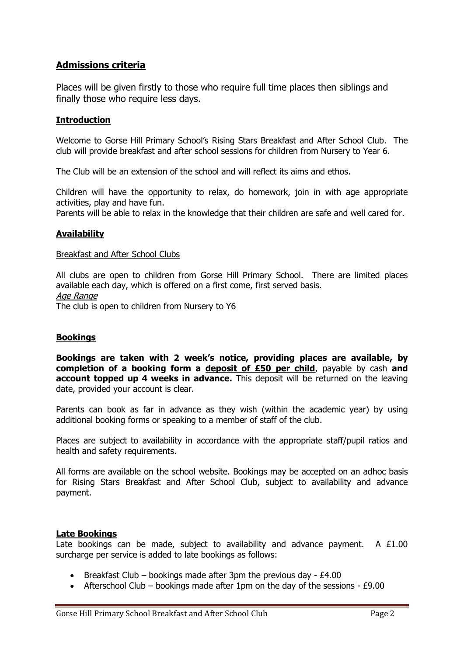# **Admissions criteria**

Places will be given firstly to those who require full time places then siblings and finally those who require less days.

### **Introduction**

Welcome to Gorse Hill Primary School's Rising Stars Breakfast and After School Club. The club will provide breakfast and after school sessions for children from Nursery to Year 6.

The Club will be an extension of the school and will reflect its aims and ethos.

Children will have the opportunity to relax, do homework, join in with age appropriate activities, play and have fun.

Parents will be able to relax in the knowledge that their children are safe and well cared for.

# **Availability**

#### Breakfast and After School Clubs

All clubs are open to children from Gorse Hill Primary School. There are limited places available each day, which is offered on a first come, first served basis. Age Range The club is open to children from Nursery to Y6

# **Bookings**

**Bookings are taken with 2 week's notice, providing places are available, by completion of a booking form a deposit of £50 per child**, payable by cash **and account topped up 4 weeks in advance.** This deposit will be returned on the leaving date, provided your account is clear.

Parents can book as far in advance as they wish (within the academic year) by using additional booking forms or speaking to a member of staff of the club.

Places are subject to availability in accordance with the appropriate staff/pupil ratios and health and safety requirements.

All forms are available on the school website. Bookings may be accepted on an adhoc basis for Rising Stars Breakfast and After School Club, subject to availability and advance payment.

#### **Late Bookings**

Late bookings can be made, subject to availability and advance payment. A  $£1.00$ surcharge per service is added to late bookings as follows:

- **•** Breakfast Club bookings made after 3pm the previous day  $£4.00$
- Afterschool Club bookings made after 1pm on the day of the sessions £9.00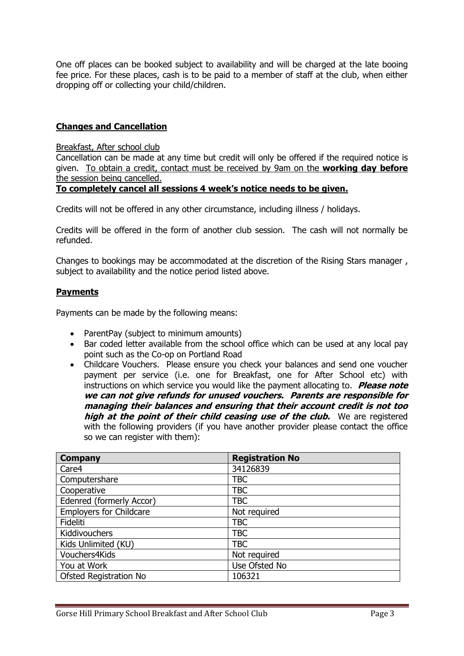One off places can be booked subject to availability and will be charged at the late booing fee price. For these places, cash is to be paid to a member of staff at the club, when either dropping off or collecting your child/children.

# **Changes and Cancellation**

### Breakfast, After school club

Cancellation can be made at any time but credit will only be offered if the required notice is given. To obtain a credit, contact must be received by 9am on the **working day before** the session being cancelled.

# **To completely cancel all sessions 4 week's notice needs to be given.**

Credits will not be offered in any other circumstance, including illness / holidays.

Credits will be offered in the form of another club session. The cash will not normally be refunded.

Changes to bookings may be accommodated at the discretion of the Rising Stars manager , subject to availability and the notice period listed above.

# **Payments**

Payments can be made by the following means:

- ParentPay (subject to minimum amounts)
- Bar coded letter available from the school office which can be used at any local pay point such as the Co-op on Portland Road
- Childcare Vouchers. Please ensure you check your balances and send one voucher payment per service (i.e. one for Breakfast, one for After School etc) with instructions on which service you would like the payment allocating to. **Please note we can not give refunds for unused vouchers. Parents are responsible for managing their balances and ensuring that their account credit is not too high at the point of their child ceasing use of the club.** We are registered with the following providers (if you have another provider please contact the office so we can register with them):

| <b>Company</b>                 | <b>Registration No</b> |  |
|--------------------------------|------------------------|--|
| Care4                          | 34126839               |  |
| Computershare                  | TBC                    |  |
| Cooperative                    | <b>TBC</b>             |  |
| Edenred (formerly Accor)       | <b>TBC</b>             |  |
| <b>Employers for Childcare</b> | Not required           |  |
| Fideliti                       | TBC                    |  |
| Kiddivouchers                  | TBC                    |  |
| Kids Unlimited (KU)            | <b>TBC</b>             |  |
| Vouchers4Kids                  | Not required           |  |
| You at Work                    | Use Ofsted No          |  |
| Ofsted Registration No         | 106321                 |  |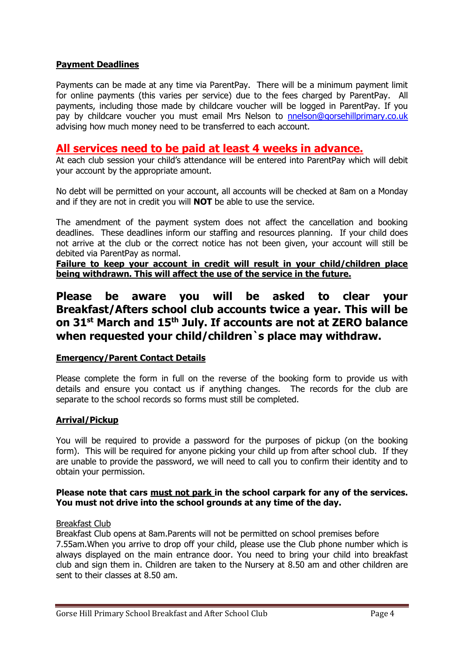# **Payment Deadlines**

Payments can be made at any time via ParentPay. There will be a minimum payment limit for online payments (this varies per service) due to the fees charged by ParentPay. All payments, including those made by childcare voucher will be logged in ParentPay. If you pay by childcare voucher you must email Mrs Nelson to [nnelson@gorsehillprimary.co.uk](mailto:nnelson@gorsehillprimary.co.uk) advising how much money need to be transferred to each account.

# **All services need to be paid at least 4 weeks in advance.**

At each club session your child's attendance will be entered into ParentPay which will debit your account by the appropriate amount.

No debt will be permitted on your account, all accounts will be checked at 8am on a Monday and if they are not in credit you will **NOT** be able to use the service.

The amendment of the payment system does not affect the cancellation and booking deadlines. These deadlines inform our staffing and resources planning. If your child does not arrive at the club or the correct notice has not been given, your account will still be debited via ParentPay as normal.

**Failure to keep your account in credit will result in your child/children place being withdrawn. This will affect the use of the service in the future.**

# **Please be aware you will be asked to clear your Breakfast/Afters school club accounts twice a year. This will be on 31st March and 15th July. If accounts are not at ZERO balance when requested your child/children`s place may withdraw.**

# **Emergency/Parent Contact Details**

Please complete the form in full on the reverse of the booking form to provide us with details and ensure you contact us if anything changes. The records for the club are separate to the school records so forms must still be completed.

# **Arrival/Pickup**

You will be required to provide a password for the purposes of pickup (on the booking form). This will be required for anyone picking your child up from after school club. If they are unable to provide the password, we will need to call you to confirm their identity and to obtain your permission.

# **Please note that cars must not park in the school carpark for any of the services. You must not drive into the school grounds at any time of the day.**

#### Breakfast Club

Breakfast Club opens at 8am.Parents will not be permitted on school premises before 7.55am.When you arrive to drop off your child, please use the Club phone number which is always displayed on the main entrance door. You need to bring your child into breakfast club and sign them in. Children are taken to the Nursery at 8.50 am and other children are sent to their classes at 8.50 am.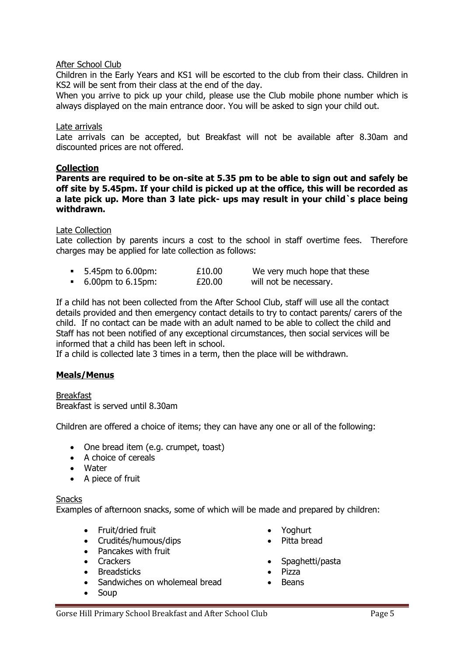### After School Club

Children in the Early Years and KS1 will be escorted to the club from their class. Children in KS2 will be sent from their class at the end of the day.

When you arrive to pick up your child, please use the Club mobile phone number which is always displayed on the main entrance door. You will be asked to sign your child out.

#### Late arrivals

Late arrivals can be accepted, but Breakfast will not be available after 8.30am and discounted prices are not offered.

#### **Collection**

**Parents are required to be on-site at 5.35 pm to be able to sign out and safely be off site by 5.45pm. If your child is picked up at the office, this will be recorded as a late pick up. More than 3 late pick- ups may result in your child`s place being withdrawn.** 

#### Late Collection

Late collection by parents incurs a cost to the school in staff overtime fees. Therefore charges may be applied for late collection as follows:

| 5.45pm to 6.00pm: | £10.00 | We very much hope that these |
|-------------------|--------|------------------------------|
| 6.00pm to 6.15pm: | £20.00 | will not be necessary.       |

If a child has not been collected from the After School Club, staff will use all the contact details provided and then emergency contact details to try to contact parents/ carers of the child. If no contact can be made with an adult named to be able to collect the child and Staff has not been notified of any exceptional circumstances, then social services will be informed that a child has been left in school.

If a child is collected late 3 times in a term, then the place will be withdrawn.

# **Meals/Menus**

Breakfast Breakfast is served until 8.30am

Children are offered a choice of items; they can have any one or all of the following:

- One bread item (e.g. crumpet, toast)
- A choice of cereals
- Water
- A piece of fruit

#### **Snacks**

Examples of afternoon snacks, some of which will be made and prepared by children:

- Fruit/dried fruit
- Crudités/humous/dips
- Pancakes with fruit
- Crackers
- Breadsticks
- Sandwiches on wholemeal bread
- Soup
- Yoghurt
- Pitta bread
- Spaghetti/pasta
- Pizza
- Beans